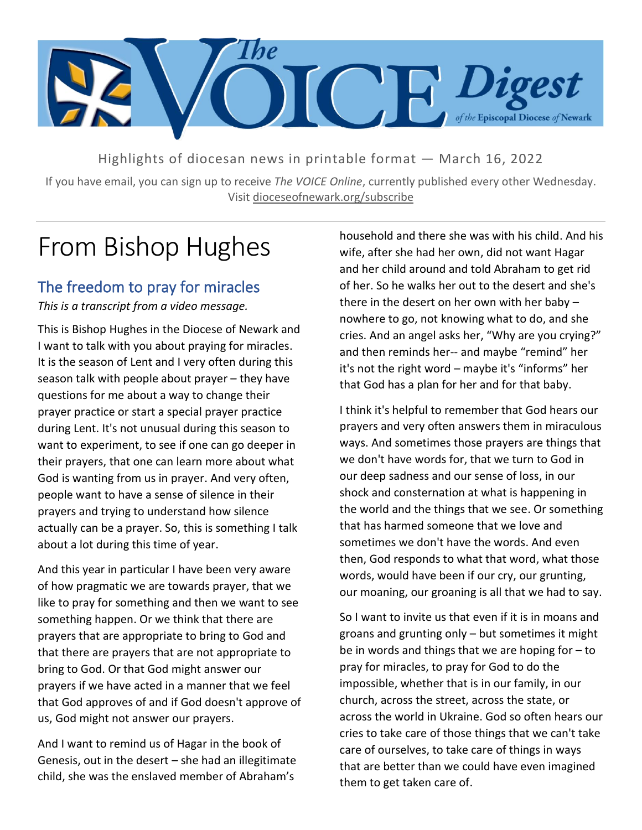

Highlights of diocesan news in printable format — March 16, 2022

If you have email, you can sign up to receive *The VOICE Online*, currently published every other Wednesday. Visit dioceseofnewark.org/subscribe

## From Bishop Hughes

### The freedom to pray for miracles

*This is a transcript from a video message.*

This is Bishop Hughes in the Diocese of Newark and I want to talk with you about praying for miracles. It is the season of Lent and I very often during this season talk with people about prayer – they have questions for me about a way to change their prayer practice or start a special prayer practice during Lent. It's not unusual during this season to want to experiment, to see if one can go deeper in their prayers, that one can learn more about what God is wanting from us in prayer. And very often, people want to have a sense of silence in their prayers and trying to understand how silence actually can be a prayer. So, this is something I talk about a lot during this time of year.

And this year in particular I have been very aware of how pragmatic we are towards prayer, that we like to pray for something and then we want to see something happen. Or we think that there are prayers that are appropriate to bring to God and that there are prayers that are not appropriate to bring to God. Or that God might answer our prayers if we have acted in a manner that we feel that God approves of and if God doesn't approve of us, God might not answer our prayers.

And I want to remind us of Hagar in the book of Genesis, out in the desert – she had an illegitimate child, she was the enslaved member of Abraham's

household and there she was with his child. And his wife, after she had her own, did not want Hagar and her child around and told Abraham to get rid of her. So he walks her out to the desert and she's there in the desert on her own with her baby – nowhere to go, not knowing what to do, and she cries. And an angel asks her, "Why are you crying?" and then reminds her-- and maybe "remind" her it's not the right word – maybe it's "informs" her that God has a plan for her and for that baby.

I think it's helpful to remember that God hears our prayers and very often answers them in miraculous ways. And sometimes those prayers are things that we don't have words for, that we turn to God in our deep sadness and our sense of loss, in our shock and consternation at what is happening in the world and the things that we see. Or something that has harmed someone that we love and sometimes we don't have the words. And even then, God responds to what that word, what those words, would have been if our cry, our grunting, our moaning, our groaning is all that we had to say.

So I want to invite us that even if it is in moans and groans and grunting only – but sometimes it might be in words and things that we are hoping for  $-$  to pray for miracles, to pray for God to do the impossible, whether that is in our family, in our church, across the street, across the state, or across the world in Ukraine. God so often hears our cries to take care of those things that we can't take care of ourselves, to take care of things in ways that are better than we could have even imagined them to get taken care of.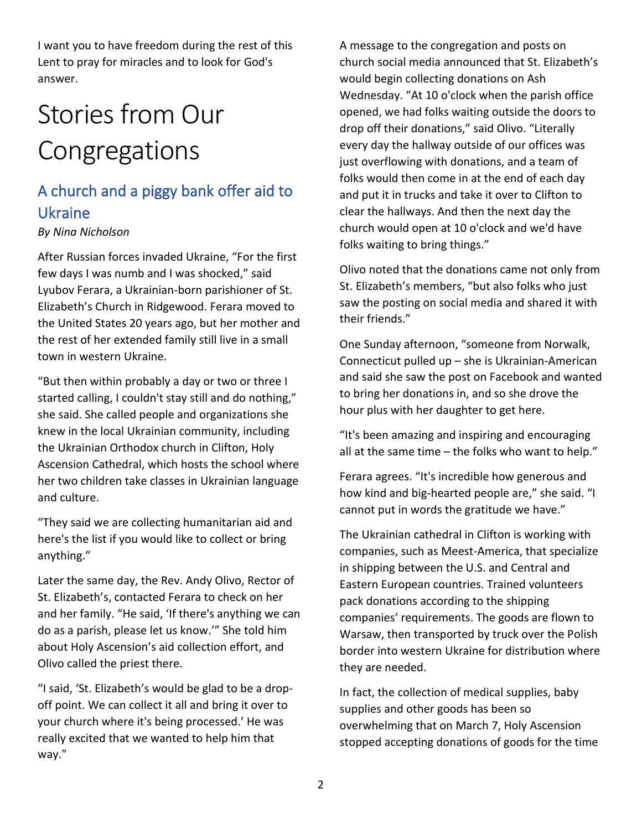I want you to have freedom during the rest of this Lent to pray for miracles and to look for God's answer.

# Stories from Our **Congregations**

## A church and a piggy bank offer aid to Ukraine

#### *By Nina Nicholson*

After Russian forces invaded Ukraine, "For the first few days I was numb and I was shocked," said Lyubov Ferara, a Ukrainian-born parishioner of St. Elizabeth's Church in Ridgewood. Ferara moved to the United States 20 years ago, but her mother and the rest of her extended family still live in a small town in western Ukraine.

"But then within probably a day or two or three I started calling, I couldn't stay still and do nothing," she said. She called people and organizations she knew in the local Ukrainian community, including the Ukrainian Orthodox church in Clifton, Holy Ascension Cathedral, which hosts the school where her two children take classes in Ukrainian language and culture.

"They said we are collecting humanitarian aid and here's the list if you would like to collect or bring anything."

Later the same day, the Rev. Andy Olivo, Rector of St. Elizabeth's, contacted Ferara to check on her and her family. "He said, 'If there's anything we can do as a parish, please let us know.'" She told him about Holy Ascension's aid collection effort, and Olivo called the priest there.

"I said, 'St. Elizabeth's would be glad to be a dropoff point. We can collect it all and bring it over to your church where it's being processed.' He was really excited that we wanted to help him that way."

A message to the congregation and posts on church social media announced that St. Elizabeth's would begin collecting donations on Ash Wednesday. "At 10 o'clock when the parish office opened, we had folks waiting outside the doors to drop off their donations," said Olivo. "Literally every day the hallway outside of our offices was just overflowing with donations, and a team of folks would then come in at the end of each day and put it in trucks and take it over to Clifton to clear the hallways. And then the next day the church would open at 10 o'clock and we'd have folks waiting to bring things."

Olivo noted that the donations came not only from St. Elizabeth's members, "but also folks who just saw the posting on social media and shared it with their friends."

One Sunday afternoon, "someone from Norwalk, Connecticut pulled up – she is Ukrainian-American and said she saw the post on Facebook and wanted to bring her donations in, and so she drove the hour plus with her daughter to get here.

"It's been amazing and inspiring and encouraging all at the same time – the folks who want to help."

Ferara agrees. "It's incredible how generous and how kind and big-hearted people are," she said. "I cannot put in words the gratitude we have."

The Ukrainian cathedral in Clifton is working with companies, such as Meest-America, that specialize in shipping between the U.S. and Central and Eastern European countries. Trained volunteers pack donations according to the shipping companies' requirements. The goods are flown to Warsaw, then transported by truck over the Polish border into western Ukraine for distribution where they are needed.

In fact, the collection of medical supplies, baby supplies and other goods has been so overwhelming that on March 7, Holy Ascension stopped accepting donations of goods for the time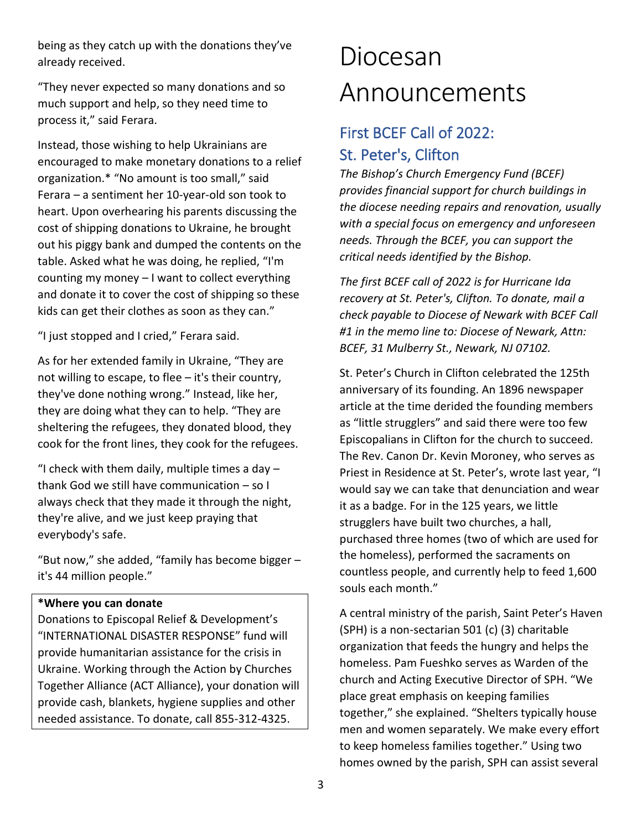being as they catch up with the donations they've already received.

"They never expected so many donations and so much support and help, so they need time to process it," said Ferara.

Instead, those wishing to help Ukrainians are encouraged to make monetary donations to a relief organization.\* "No amount is too small," said Ferara – a sentiment her 10-year-old son took to heart. Upon overhearing his parents discussing the cost of shipping donations to Ukraine, he brought out his piggy bank and dumped the contents on the table. Asked what he was doing, he replied, "I'm counting my money – I want to collect everything and donate it to cover the cost of shipping so these kids can get their clothes as soon as they can."

"I just stopped and I cried," Ferara said.

As for her extended family in Ukraine, "They are not willing to escape, to flee – it's their country, they've done nothing wrong." Instead, like her, they are doing what they can to help. "They are sheltering the refugees, they donated blood, they cook for the front lines, they cook for the refugees.

"I check with them daily, multiple times a day  $$ thank God we still have communication – so I always check that they made it through the night, they're alive, and we just keep praying that everybody's safe.

"But now," she added, "family has become bigger – it's 44 million people."

#### **\*Where you can donate**

Donations to Episcopal Relief & Development's "INTERNATIONAL DISASTER RESPONSE" fund will provide humanitarian assistance for the crisis in Ukraine. Working through the Action by Churches Together Alliance (ACT Alliance), your donation will provide cash, blankets, hygiene supplies and other needed assistance. To donate, call 855-312-4325.

## Diocesan Announcements

### First BCEF Call of 2022: St. Peter's, Clifton

*The Bishop's Church Emergency Fund (BCEF) provides financial support for church buildings in the diocese needing repairs and renovation, usually with a special focus on emergency and unforeseen needs. Through the BCEF, you can support the critical needs identified by the Bishop.*

*The first BCEF call of 2022 is for Hurricane Ida recovery at St. Peter's, Clifton. To donate, mail a check payable to Diocese of Newark with BCEF Call #1 in the memo line to: Diocese of Newark, Attn: BCEF, 31 Mulberry St., Newark, NJ 07102.*

St. Peter's Church in Clifton celebrated the 125th anniversary of its founding. An 1896 newspaper article at the time derided the founding members as "little strugglers" and said there were too few Episcopalians in Clifton for the church to succeed. The Rev. Canon Dr. Kevin Moroney, who serves as Priest in Residence at St. Peter's, wrote last year, "I would say we can take that denunciation and wear it as a badge. For in the 125 years, we little strugglers have built two churches, a hall, purchased three homes (two of which are used for the homeless), performed the sacraments on countless people, and currently help to feed 1,600 souls each month."

A central ministry of the parish, Saint Peter's Haven (SPH) is a non-sectarian 501 (c) (3) charitable organization that feeds the hungry and helps the homeless. Pam Fueshko serves as Warden of the church and Acting Executive Director of SPH. "We place great emphasis on keeping families together," she explained. "Shelters typically house men and women separately. We make every effort to keep homeless families together." Using two homes owned by the parish, SPH can assist several